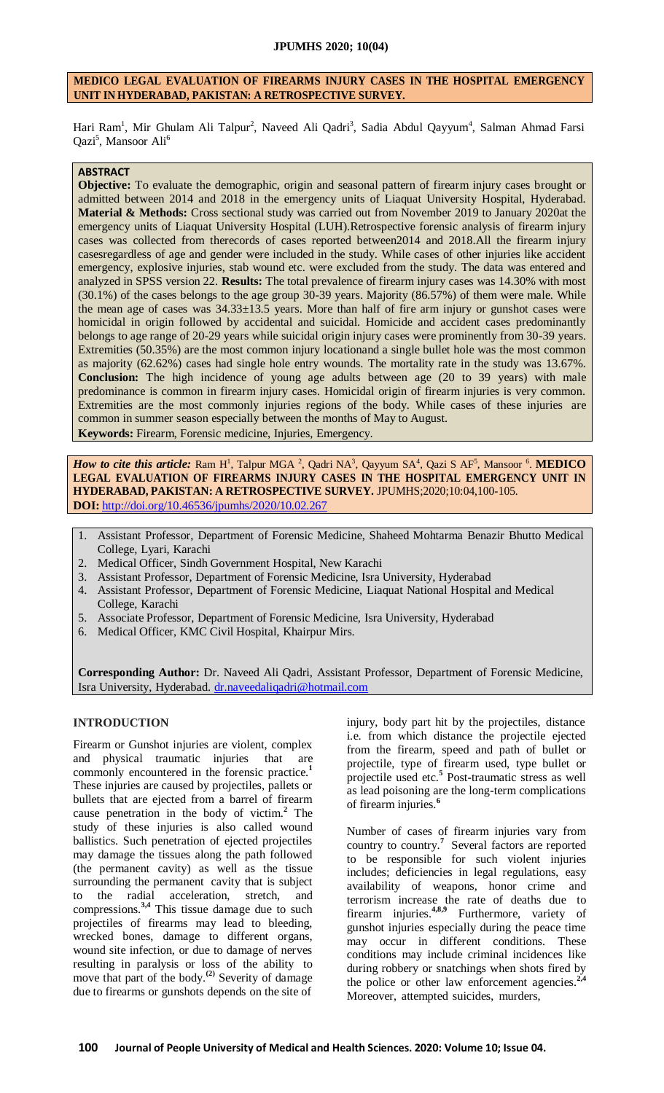# **MEDICO LEGAL EVALUATION OF FIREARMS INJURY CASES IN THE HOSPITAL EMERGENCY UNIT IN HYDERABAD, PAKISTAN: A RETROSPECTIVE SURVEY.**

Hari Ram<sup>1</sup>, Mir Ghulam Ali Talpur<sup>2</sup>, Naveed Ali Qadri<sup>3</sup>, Sadia Abdul Qayyum<sup>4</sup>, Salman Ahmad Farsi Qazi<sup>5</sup>, Mansoor Ali<sup>6</sup>

## **ABSTRACT**

**Objective:** To evaluate the demographic, origin and seasonal pattern of firearm injury cases brought or admitted between 2014 and 2018 in the emergency units of Liaquat University Hospital, Hyderabad. **Material & Methods:** Cross sectional study was carried out from November 2019 to January 2020at the emergency units of Liaquat University Hospital (LUH).Retrospective forensic analysis of firearm injury cases was collected from therecords of cases reported between2014 and 2018.All the firearm injury casesregardless of age and gender were included in the study. While cases of other injuries like accident emergency, explosive injuries, stab wound etc. were excluded from the study. The data was entered and analyzed in SPSS version 22. **Results:** The total prevalence of firearm injury cases was 14.30% with most (30.1%) of the cases belongs to the age group 30-39 years. Majority (86.57%) of them were male. While the mean age of cases was 34.33±13.5 years. More than half of fire arm injury or gunshot cases were homicidal in origin followed by accidental and suicidal. Homicide and accident cases predominantly belongs to age range of 20-29 years while suicidal origin injury cases were prominently from 30-39 years. Extremities (50.35%) are the most common injury locationand a single bullet hole was the most common as majority (62.62%) cases had single hole entry wounds. The mortality rate in the study was 13.67%. **Conclusion:** The high incidence of young age adults between age (20 to 39 years) with male predominance is common in firearm injury cases. Homicidal origin of firearm injuries is very common. Extremities are the most commonly injuries regions of the body. While cases of these injuries are common in summer season especially between the months of May to August. **Keywords:** Firearm, Forensic medicine, Injuries, Emergency.

*How to cite this article:* Ram H<sup>1</sup>, Talpur MGA<sup>2</sup>, Qadri NA<sup>3</sup>, Qayyum SA<sup>4</sup>, Qazi S AF<sup>5</sup>, Mansoor <sup>6</sup>. **MEDICO LEGAL EVALUATION OF FIREARMS INJURY CASES IN THE HOSPITAL EMERGENCY UNIT IN HYDERABAD, PAKISTAN: A RETROSPECTIVE SURVEY.** JPUMHS;2020;10:04,100-105. **DOI:** <http://doi.org/10.46536/jpumhs/2020/10.02.267>

- 1. Assistant Professor, Department of Forensic Medicine, Shaheed Mohtarma Benazir Bhutto Medical College, Lyari, Karachi
- 2. Medical Officer, Sindh Government Hospital, New Karachi
- 3. Assistant Professor, Department of Forensic Medicine, Isra University, Hyderabad
- 4. Assistant Professor, Department of Forensic Medicine, Liaquat National Hospital and Medical College, Karachi
- 5. Associate Professor, Department of Forensic Medicine, Isra University, Hyderabad
- 6. Medical Officer, KMC Civil Hospital, Khairpur Mirs.

**Corresponding Author:** Dr. Naveed Ali Qadri, Assistant Professor, Department of Forensic Medicine, Isra University, Hyderabad. [dr.naveedaliqadri@hotmail.com](mailto:dr.naveedaliqadri@hotmail.com)

## **INTRODUCTION**

Firearm or Gunshot injuries are violent, complex and physical traumatic injuries that are commonly encountered in the forensic practice.**<sup>1</sup>** These injuries are caused by projectiles, pallets or bullets that are ejected from a barrel of firearm cause penetration in the body of victim.**<sup>2</sup>** The study of these injuries is also called wound ballistics. Such penetration of ejected projectiles may damage the tissues along the path followed (the permanent cavity) as well as the tissue surrounding the permanent cavity that is subject to the radial acceleration, stretch, and compressions.**3,4** This tissue damage due to such projectiles of firearms may lead to bleeding, wrecked bones, damage to different organs, wound site infection, or due to damage of nerves resulting in paralysis or loss of the ability to move that part of the body.**(2)** Severity of damage due to firearms or gunshots depends on the site of

injury, body part hit by the projectiles, distance i.e. from which distance the projectile ejected from the firearm, speed and path of bullet or projectile, type of firearm used, type bullet or projectile used etc.**<sup>5</sup>** Post-traumatic stress as well as lead poisoning are the long-term complications of firearm injuries.**<sup>6</sup>**

Number of cases of firearm injuries vary from country to country.**<sup>7</sup>** Several factors are reported to be responsible for such violent injuries includes; deficiencies in legal regulations, easy availability of weapons, honor crime and terrorism increase the rate of deaths due to firearm injuries.**4,8,9** Furthermore, variety of gunshot injuries especially during the peace time may occur in different conditions. These conditions may include criminal incidences like during robbery or snatchings when shots fired by the police or other law enforcement agencies.**2,4** Moreover, attempted suicides, murders,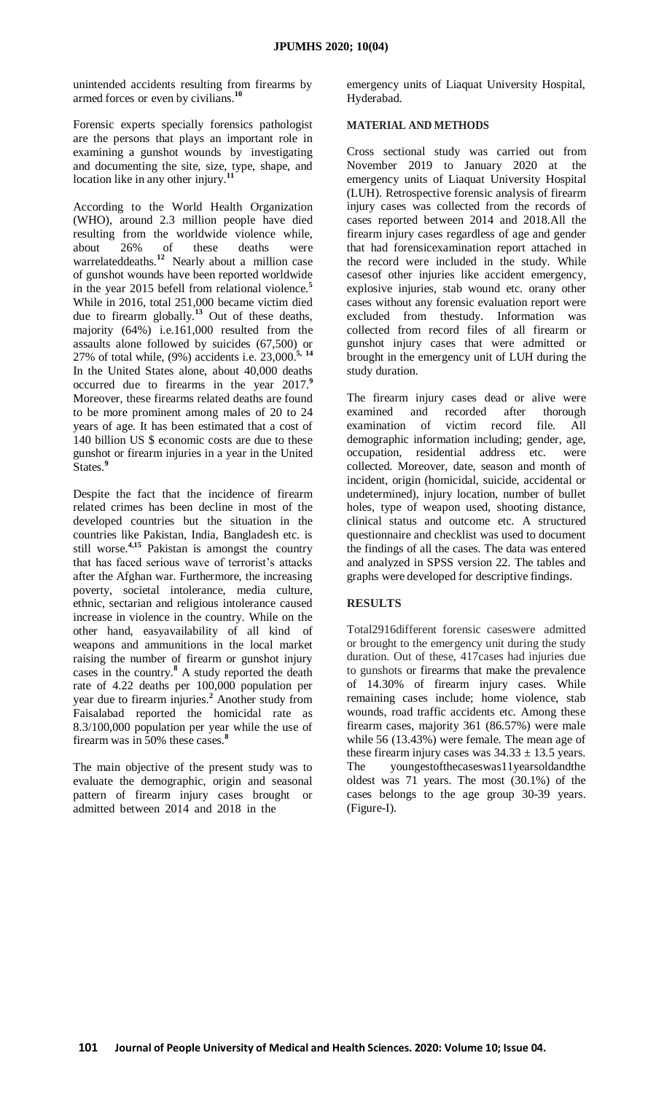unintended accidents resulting from firearms by armed forces or even by civilians.**<sup>10</sup>**

Forensic experts specially forensics pathologist are the persons that plays an important role in examining a gunshot wounds by investigating and documenting the site, size, type, shape, and location like in any other injury.**<sup>11</sup>**

According to the World Health Organization (WHO), around 2.3 million people have died resulting from the worldwide violence while, about 26% of these deaths were warrelateddeaths.**<sup>12</sup>** Nearly about a million case of gunshot wounds have been reported worldwide in the year 2015 befell from relational violence.**<sup>5</sup>** While in 2016, total 251,000 became victim died due to firearm globally.**<sup>13</sup>** Out of these deaths, majority (64%) i.e.161,000 resulted from the assaults alone followed by suicides (67,500) or 27% of total while, (9%) accidents i.e. 23,000.**5, <sup>14</sup>** In the United States alone, about 40,000 deaths occurred due to firearms in the year 2017.**<sup>9</sup>** Moreover, these firearms related deaths are found to be more prominent among males of 20 to 24 years of age. It has been estimated that a cost of 140 billion US \$ economic costs are due to these gunshot or firearm injuries in a year in the United States.**<sup>9</sup>**

Despite the fact that the incidence of firearm related crimes has been decline in most of the developed countries but the situation in the countries like Pakistan, India, Bangladesh etc. is still worse.**4,15** Pakistan is amongst the country that has faced serious wave of terrorist's attacks after the Afghan war. Furthermore, the increasing poverty, societal intolerance, media culture, ethnic, sectarian and religious intolerance caused increase in violence in the country. While on the other hand, easyavailability of all kind of weapons and ammunitions in the local market raising the number of firearm or gunshot injury cases in the country.**<sup>8</sup>** A study reported the death rate of 4.22 deaths per 100,000 population per year due to firearm injuries.**<sup>2</sup>** Another study from Faisalabad reported the homicidal rate as 8.3/100,000 population per year while the use of firearm was in 50% these cases.**<sup>8</sup>**

The main objective of the present study was to evaluate the demographic, origin and seasonal pattern of firearm injury cases brought or admitted between 2014 and 2018 in the

emergency units of Liaquat University Hospital, Hyderabad.

## **MATERIAL AND METHODS**

Cross sectional study was carried out from November 2019 to January 2020 at the emergency units of Liaquat University Hospital (LUH). Retrospective forensic analysis of firearm injury cases was collected from the records of cases reported between 2014 and 2018.All the firearm injury cases regardless of age and gender that had forensicexamination report attached in the record were included in the study. While casesof other injuries like accident emergency, explosive injuries, stab wound etc. orany other cases without any forensic evaluation report were excluded from thestudy. Information was collected from record files of all firearm or gunshot injury cases that were admitted or brought in the emergency unit of LUH during the study duration.

The firearm injury cases dead or alive were examined and recorded after thorough examination of victim record file. All demographic information including; gender, age, occupation, residential address etc. were collected. Moreover, date, season and month of incident, origin (homicidal, suicide, accidental or undetermined), injury location, number of bullet holes, type of weapon used, shooting distance, clinical status and outcome etc. A structured questionnaire and checklist was used to document the findings of all the cases. The data was entered and analyzed in SPSS version 22. The tables and graphs were developed for descriptive findings.

# **RESULTS**

Total2916different forensic caseswere admitted or brought to the emergency unit during the study duration. Out of these, 417cases had injuries due to gunshots or firearms that make the prevalence of 14.30% of firearm injury cases. While remaining cases include; home violence, stab wounds, road traffic accidents etc. Among these firearm cases, majority 361 (86.57%) were male while 56 (13.43%) were female. The mean age of these firearm injury cases was  $34.33 \pm 13.5$  years. The youngestofthecaseswas11yearsoldandthe oldest was 71 years. The most (30.1%) of the cases belongs to the age group 30-39 years. (Figure-I).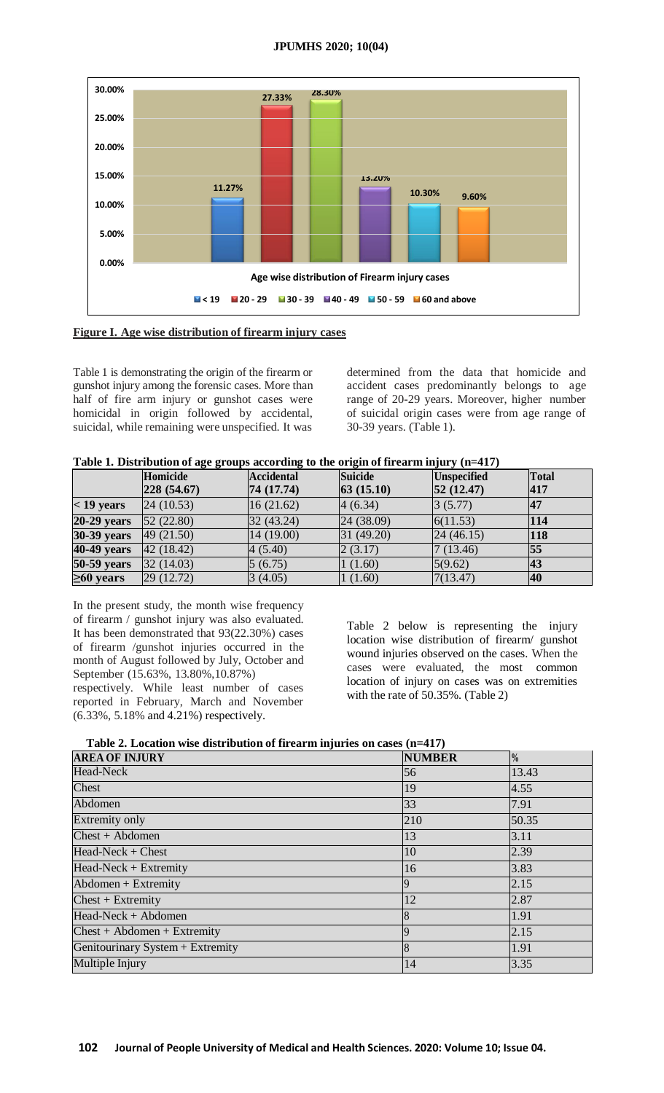### **JPUMHS 2020; 10(04)**





Table 1 is demonstrating the origin of the firearm or gunshot injury among the forensic cases. More than half of fire arm injury or gunshot cases were homicidal in origin followed by accidental, suicidal, while remaining were unspecified. It was determined from the data that homicide and accident cases predominantly belongs to age range of 20-29 years. Moreover, higher number of suicidal origin cases were from age range of 30-39 years. (Table 1).

| Table 1. Distribution of age groups according to the origin of firearm injury (n=417) |  |  |  |  |
|---------------------------------------------------------------------------------------|--|--|--|--|
|                                                                                       |  |  |  |  |

|                    | Homicide     | <b>Accidental</b> | <b>Suicide</b>   | <b>Unspecified</b> | <b>Total</b> |
|--------------------|--------------|-------------------|------------------|--------------------|--------------|
|                    | 228(54.67)   | 74 (17.74)        | $ 63 \ (15.10) $ | $ 52 \ (12.47)$    | 417          |
| $<$ 19 years       | [24 (10.53)] | 16(21.62)         | 4(6.34)          | 3(5.77)            | <b>47</b>    |
| $20-29$ years      | 52(22.80)    | 32(43.24)         | [24 (38.09)]     | 6(11.53)           | 114          |
| <b>30-39 years</b> | 49(21.50)    | 14 (19.00)        | 31(49.20)        | 24(46.15)          | <b>118</b>   |
| 40-49 years        | 42(18.42)    | 4(5.40)           | 2(3.17)          | 7(13.46)           | 55           |
| <b>50-59</b> years | 32(14.03)    | 5(6.75)           | (1.60)           | 5(9.62)            | <b>43</b>    |
| $\geq 60$ years    | 29(12.72)    | 3(4.05)           | (1.60)           | 7(13.47)           | <b>40</b>    |

In the present study, the month wise frequency of firearm / gunshot injury was also evaluated. It has been demonstrated that 93(22.30%) cases of firearm /gunshot injuries occurred in the month of August followed by July, October and September (15.63%, 13.80%,10.87%) respectively. While least number of cases reported in February, March and November (6.33%, 5.18% and 4.21%) respectively.

Table 2 below is representing the injury location wise distribution of firearm/ gunshot wound injuries observed on the cases. When the cases were evaluated, the most common location of injury on cases was on extremities with the rate of 50.35%. (Table 2)

| <b>AREA OF INJURY</b>            | <b>NUMBER</b>  | $\frac{0}{0}$ |
|----------------------------------|----------------|---------------|
| Head-Neck                        | 56             | 13.43         |
| Chest                            | 19             | 4.55          |
| Abdomen                          | 33             | 7.91          |
| <b>Extremity only</b>            | 210            | 50.35         |
| $Check + Abdomen$                | 13             | 3.11          |
| $Head-Neck + Check$              | 10             | 2.39          |
| $Head-Neck + Extremity$          | 16             | 3.83          |
| $Abdomen + Extremity$            | $\overline{Q}$ | 2.15          |
| $Check + Extremity$              | 12             | 2.87          |
| Head-Neck + Abdomen              | 8              | 1.91          |
| $Check + Abdomen + Extremity$    | $\mathbf Q$    | 2.15          |
| Genitourinary System + Extremity | $\overline{8}$ | 1.91          |
| Multiple Injury                  | 14             | 3.35          |

**Table 2. Location wise distribution of firearm injuries on cases (n=417)**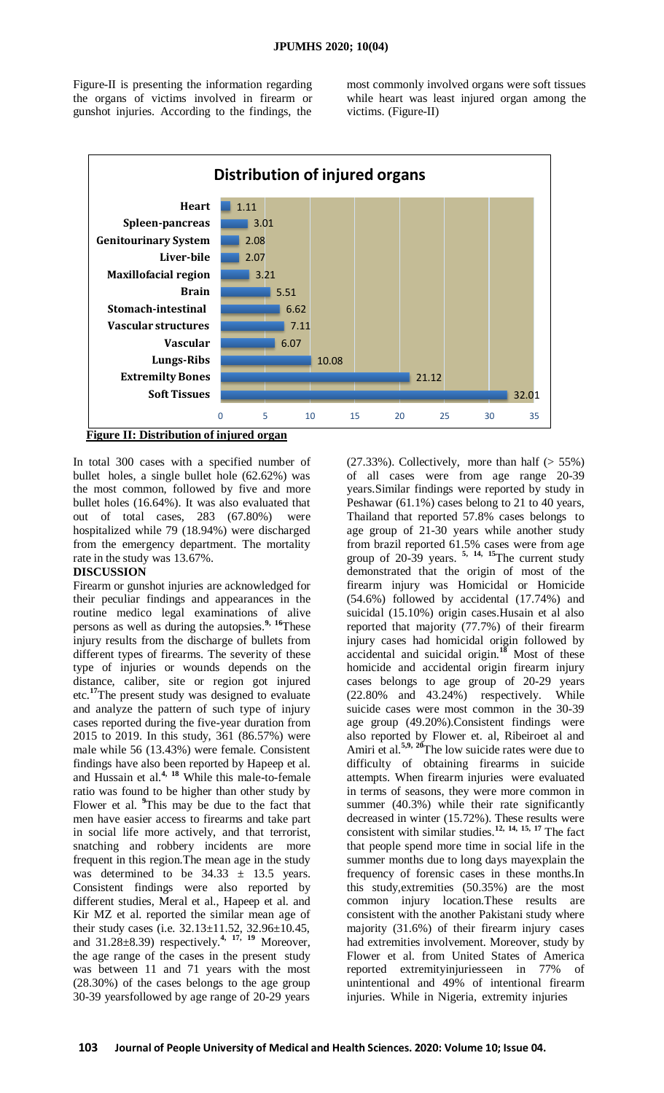Figure-II is presenting the information regarding the organs of victims involved in firearm or gunshot injuries. According to the findings, the

most commonly involved organs were soft tissues while heart was least injured organ among the victims. (Figure-II)



In total 300 cases with a specified number of bullet holes, a single bullet hole (62.62%) was the most common, followed by five and more bullet holes (16.64%). It was also evaluated that out of total cases, 283 (67.80%) were hospitalized while 79 (18.94%) were discharged from the emergency department. The mortality rate in the study was 13.67%.

# **DISCUSSION**

Firearm or gunshot injuries are acknowledged for their peculiar findings and appearances in the routine medico legal examinations of alive persons as well as during the autopsies.**9, <sup>16</sup>**These injury results from the discharge of bullets from different types of firearms. The severity of these type of injuries or wounds depends on the distance, caliber, site or region got injured etc.**<sup>17</sup>**The present study was designed to evaluate and analyze the pattern of such type of injury cases reported during the five-year duration from 2015 to 2019. In this study, 361 (86.57%) were male while 56 (13.43%) were female. Consistent findings have also been reported by Hapeep et al. and Hussain et al.**4, <sup>18</sup>** While this male-to-female ratio was found to be higher than other study by Flower et al. **<sup>9</sup>**This may be due to the fact that men have easier access to firearms and take part in social life more actively, and that terrorist, snatching and robbery incidents are more frequent in this region.The mean age in the study was determined to be  $34.33 \pm 13.5$  years. Consistent findings were also reported by different studies, Meral et al., Hapeep et al. and Kir MZ et al. reported the similar mean age of their study cases (i.e.  $32.13 \pm 11.52$ ,  $32.96 \pm 10.45$ , and 31.28±8.39) respectively.**4, 17, <sup>19</sup>** Moreover, the age range of the cases in the present study was between 11 and 71 years with the most (28.30%) of the cases belongs to the age group 30-39 yearsfollowed by age range of 20-29 years

 $(27.33\%)$ . Collectively, more than half  $(> 55\%)$ of all cases were from age range 20-39 years.Similar findings were reported by study in Peshawar (61.1%) cases belong to 21 to 40 years, Thailand that reported 57.8% cases belongs to age group of 21-30 years while another study from brazil reported 61.5% cases were from age group of 20-39 years. **5, 14, <sup>15</sup>**The current study demonstrated that the origin of most of the firearm injury was Homicidal or Homicide (54.6%) followed by accidental (17.74%) and suicidal (15.10%) origin cases.Husain et al also reported that majority (77.7%) of their firearm injury cases had homicidal origin followed by accidental and suicidal origin.**<sup>18</sup>** Most of these homicide and accidental origin firearm injury cases belongs to age group of 20-29 years (22.80% and 43.24%) respectively. While suicide cases were most common in the 30-39 age group (49.20%).Consistent findings were also reported by Flower et. al, Ribeiroet al and Amiri et al.**5,9, <sup>20</sup>**The low suicide rates were due to difficulty of obtaining firearms in suicide attempts. When firearm injuries were evaluated in terms of seasons, they were more common in summer (40.3%) while their rate significantly decreased in winter (15.72%). These results were consistent with similar studies.**12, 14, 15, <sup>17</sup>** The fact that people spend more time in social life in the summer months due to long days mayexplain the frequency of forensic cases in these months.In this study,extremities (50.35%) are the most common injury location.These results are consistent with the another Pakistani study where majority (31.6%) of their firearm injury cases had extremities involvement. Moreover, study by Flower et al. from United States of America reported extremityinjuriesseen in 77% of unintentional and 49% of intentional firearm injuries. While in Nigeria, extremity injuries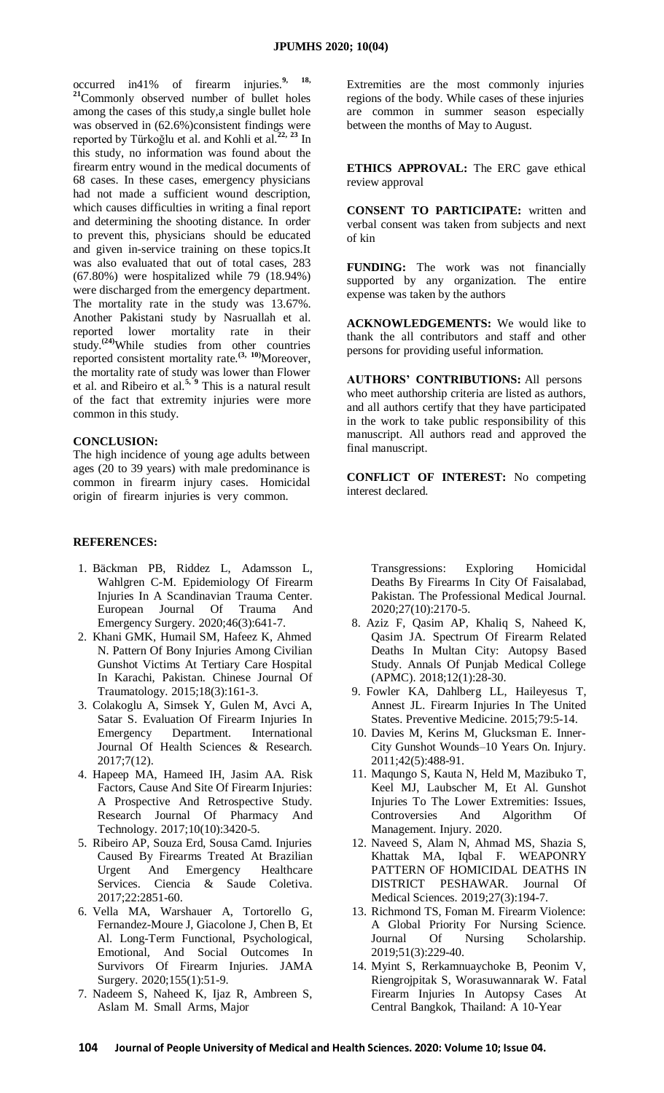occurred in41% of firearm injuries.**9, 18, <sup>21</sup>**Commonly observed number of bullet holes among the cases of this study,a single bullet hole was observed in (62.6%)consistent findings were reported by Türkoğlu et al. and Kohli et al.**22, <sup>23</sup>** In this study, no information was found about the firearm entry wound in the medical documents of 68 cases. In these cases, emergency physicians had not made a sufficient wound description, which causes difficulties in writing a final report and determining the shooting distance. In order to prevent this, physicians should be educated and given in-service training on these topics.It was also evaluated that out of total cases, 283 (67.80%) were hospitalized while 79 (18.94%) were discharged from the emergency department. The mortality rate in the study was 13.67%. Another Pakistani study by Nasruallah et al. reported lower mortality rate in their study.**[\(24\)](#page-5-0)**While studies from other countries reported consistent mortality rate.**(3, 10)**Moreover, the mortality rate of study was lower than Flower et al. and Ribeiro et al.**5, <sup>9</sup>** This is a natural result of the fact that extremity injuries were more common in this study.

#### **CONCLUSION:**

The high incidence of young age adults between ages (20 to 39 years) with male predominance is common in firearm injury cases. Homicidal origin of firearm injuries is very common.

### **REFERENCES:**

- 1. Bäckman PB, Riddez L, Adamsson L, Wahlgren C-M. Epidemiology Of Firearm Injuries In A Scandinavian Trauma Center. European Journal Of Trauma And Emergency Surgery. 2020;46(3):641-7.
- 2. Khani GMK, Humail SM, Hafeez K, Ahmed N. Pattern Of Bony Injuries Among Civilian Gunshot Victims At Tertiary Care Hospital In Karachi, Pakistan. Chinese Journal Of Traumatology. 2015;18(3):161-3.
- 3. Colakoglu A, Simsek Y, Gulen M, Avci A, Satar S. Evaluation Of Firearm Injuries In Emergency Department. International Journal Of Health Sciences & Research. 2017;7(12).
- 4. Hapeep MA, Hameed IH, Jasim AA. Risk Factors, Cause And Site Of Firearm Injuries: A Prospective And Retrospective Study. Research Journal Of Pharmacy And Technology. 2017;10(10):3420-5.
- 5. Ribeiro AP, Souza Erd, Sousa Camd. Injuries Caused By Firearms Treated At Brazilian Urgent And Emergency Healthcare Services. Ciencia & Saude Coletiva. 2017;22:2851-60.
- 6. Vella MA, Warshauer A, Tortorello G, Fernandez-Moure J, Giacolone J, Chen B, Et Al. Long-Term Functional, Psychological, Emotional, And Social Outcomes In Survivors Of Firearm Injuries. JAMA Surgery. 2020;155(1):51-9.
- 7. Nadeem S, Naheed K, Ijaz R, Ambreen S, Aslam M. Small Arms, Major

Extremities are the most commonly injuries regions of the body. While cases of these injuries are common in summer season especially between the months of May to August.

**ETHICS APPROVAL:** The ERC gave ethical review approval

**CONSENT TO PARTICIPATE:** written and verbal consent was taken from subjects and next of kin

**FUNDING:** The work was not financially supported by any organization. The entire expense was taken by the authors

**ACKNOWLEDGEMENTS:** We would like to thank the all contributors and staff and other persons for providing useful information.

**AUTHORS' CONTRIBUTIONS:** All persons who meet authorship criteria are listed as authors, and all authors certify that they have participated in the work to take public responsibility of this manuscript. All authors read and approved the final manuscript.

**CONFLICT OF INTEREST:** No competing interest declared.

Transgressions: Exploring Homicidal Deaths By Firearms In City Of Faisalabad, Pakistan. The Professional Medical Journal. 2020;27(10):2170-5.

- 8. Aziz F, Qasim AP, Khaliq S, Naheed K, Qasim JA. Spectrum Of Firearm Related Deaths In Multan City: Autopsy Based Study. Annals Of Punjab Medical College (APMC). 2018;12(1):28-30.
- 9. Fowler KA, Dahlberg LL, Haileyesus T, Annest JL. Firearm Injuries In The United States. Preventive Medicine. 2015;79:5-14.
- 10. Davies M, Kerins M, Glucksman E. Inner-City Gunshot Wounds–10 Years On. Injury. 2011;42(5):488-91.
- 11. Maqungo S, Kauta N, Held M, Mazibuko T, Keel MJ, Laubscher M, Et Al. Gunshot Injuries To The Lower Extremities: Issues, Controversies And Algorithm Of Management. Injury. 2020.
- 12. Naveed S, Alam N, Ahmad MS, Shazia S, Khattak MA, Iqbal F. WEAPONRY PATTERN OF HOMICIDAL DEATHS IN DISTRICT PESHAWAR. Journal Of Medical Sciences. 2019;27(3):194-7.
- 13. Richmond TS, Foman M. Firearm Violence: A Global Priority For Nursing Science. Journal Of Nursing Scholarship. 2019;51(3):229-40.
- 14. Myint S, Rerkamnuaychoke B, Peonim V, Riengrojpitak S, Worasuwannarak W. Fatal Firearm Injuries In Autopsy Cases At Central Bangkok, Thailand: A 10-Year